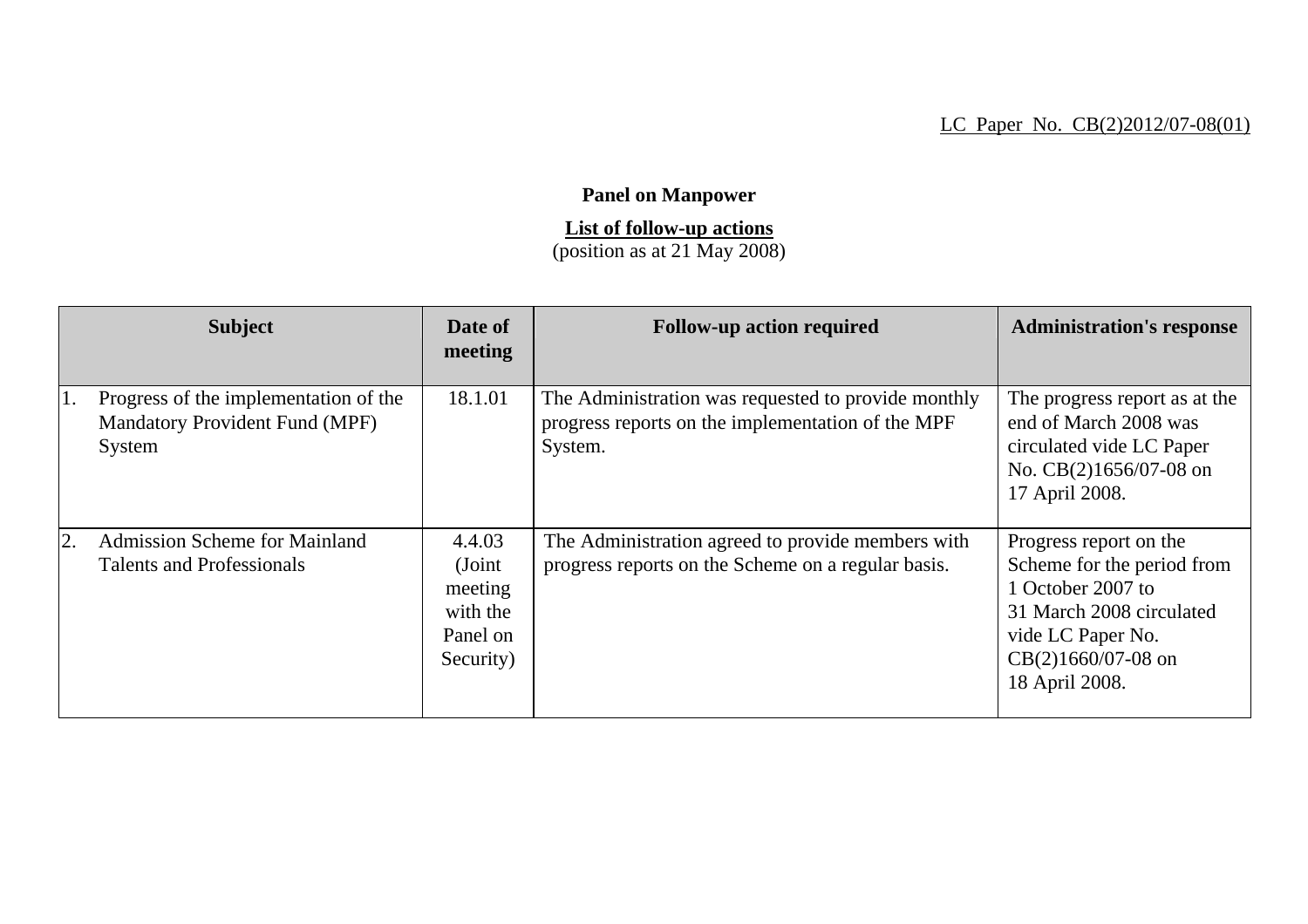## LC Paper No. CB(2)2012/07-08(01)

## **Panel on Manpower**

## **List of follow-up actions**

(position as at 21 May 2008)

|    | <b>Subject</b>                                                                           | Date of<br>meeting                                               | <b>Follow-up action required</b>                                                                                    | <b>Administration's response</b>                                                                                                                                     |
|----|------------------------------------------------------------------------------------------|------------------------------------------------------------------|---------------------------------------------------------------------------------------------------------------------|----------------------------------------------------------------------------------------------------------------------------------------------------------------------|
|    | Progress of the implementation of the<br><b>Mandatory Provident Fund (MPF)</b><br>System | 18.1.01                                                          | The Administration was requested to provide monthly<br>progress reports on the implementation of the MPF<br>System. | The progress report as at the<br>end of March 2008 was<br>circulated vide LC Paper<br>No. CB(2)1656/07-08 on<br>17 April 2008.                                       |
| 2. | <b>Admission Scheme for Mainland</b><br><b>Talents and Professionals</b>                 | 4.4.03<br>(Joint<br>meeting<br>with the<br>Panel on<br>Security) | The Administration agreed to provide members with<br>progress reports on the Scheme on a regular basis.             | Progress report on the<br>Scheme for the period from<br>1 October 2007 to<br>31 March 2008 circulated<br>vide LC Paper No.<br>$CB(2)1660/07-08$ on<br>18 April 2008. |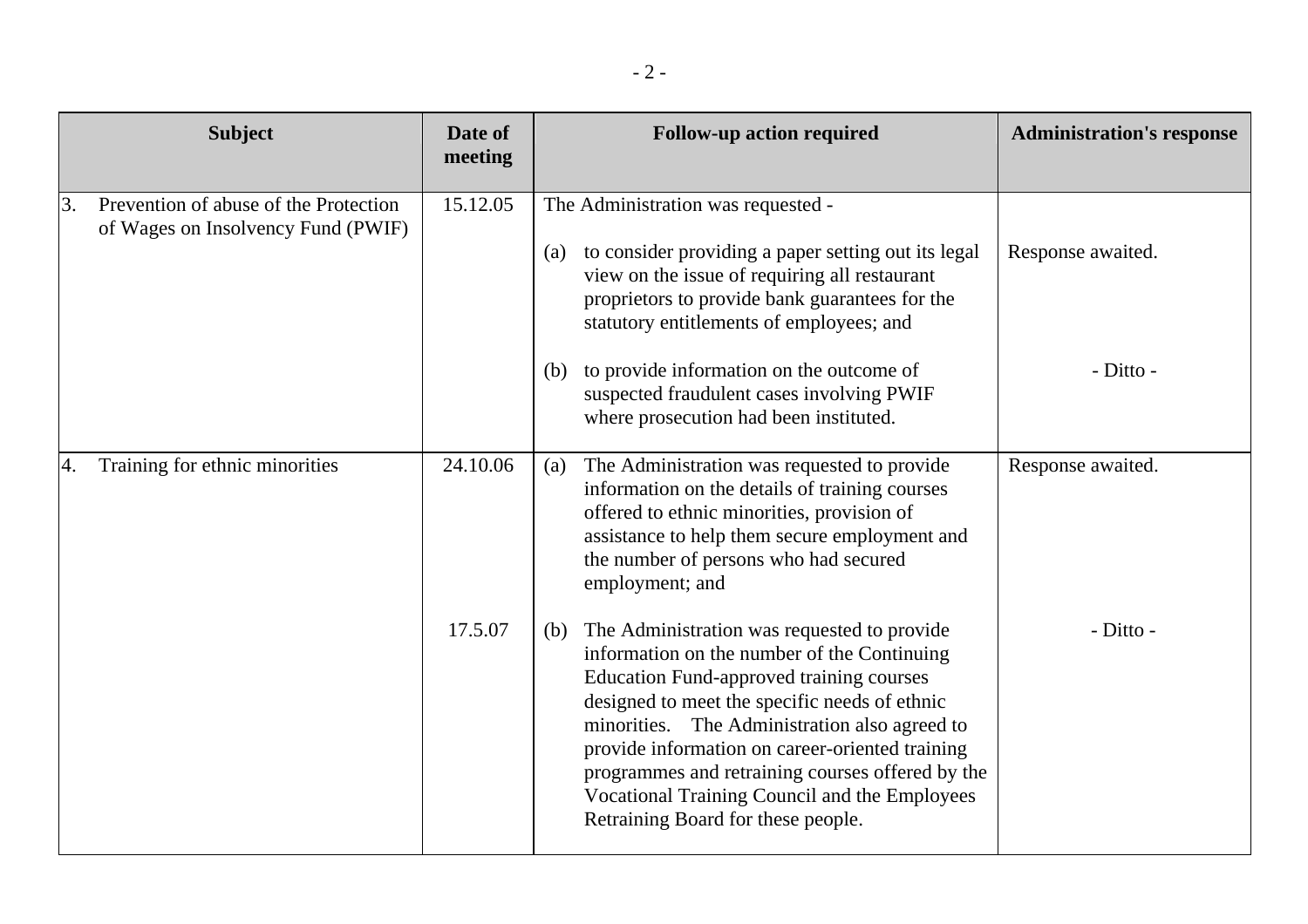|    | <b>Subject</b>                                                              | Date of<br>meeting | <b>Follow-up action required</b>                                                                                                                                                                                                                                                                                                                                                                                                                     | <b>Administration's response</b> |
|----|-----------------------------------------------------------------------------|--------------------|------------------------------------------------------------------------------------------------------------------------------------------------------------------------------------------------------------------------------------------------------------------------------------------------------------------------------------------------------------------------------------------------------------------------------------------------------|----------------------------------|
| 3. | Prevention of abuse of the Protection<br>of Wages on Insolvency Fund (PWIF) | 15.12.05           | The Administration was requested -<br>to consider providing a paper setting out its legal<br>(a)<br>view on the issue of requiring all restaurant<br>proprietors to provide bank guarantees for the<br>statutory entitlements of employees; and                                                                                                                                                                                                      | Response awaited.                |
|    |                                                                             |                    | to provide information on the outcome of<br>(b)<br>suspected fraudulent cases involving PWIF<br>where prosecution had been instituted.                                                                                                                                                                                                                                                                                                               | - Ditto -                        |
| 4. | Training for ethnic minorities                                              | 24.10.06           | The Administration was requested to provide<br>(a)<br>information on the details of training courses<br>offered to ethnic minorities, provision of<br>assistance to help them secure employment and<br>the number of persons who had secured<br>employment; and                                                                                                                                                                                      | Response awaited.                |
|    |                                                                             | 17.5.07            | The Administration was requested to provide<br>(b)<br>information on the number of the Continuing<br><b>Education Fund-approved training courses</b><br>designed to meet the specific needs of ethnic<br>minorities. The Administration also agreed to<br>provide information on career-oriented training<br>programmes and retraining courses offered by the<br>Vocational Training Council and the Employees<br>Retraining Board for these people. | - Ditto -                        |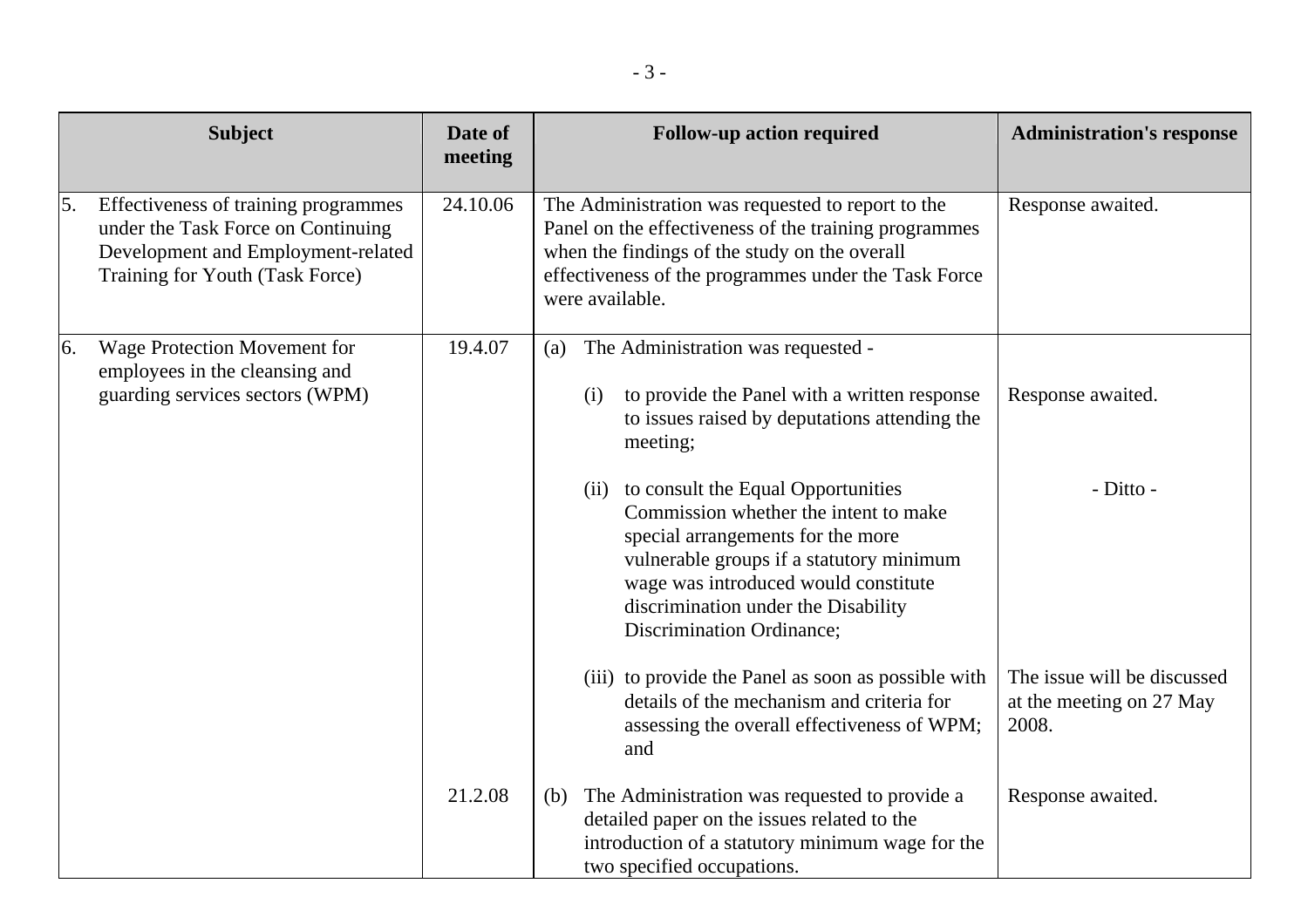|                  | <b>Subject</b>                                                                                                                                      | Date of<br>meeting | <b>Follow-up action required</b>                                                                                                                                                                                                       | <b>Administration's response</b>                                 |  |                                                                                                                                                                                                                                                  |           |
|------------------|-----------------------------------------------------------------------------------------------------------------------------------------------------|--------------------|----------------------------------------------------------------------------------------------------------------------------------------------------------------------------------------------------------------------------------------|------------------------------------------------------------------|--|--------------------------------------------------------------------------------------------------------------------------------------------------------------------------------------------------------------------------------------------------|-----------|
| $\vert 5. \vert$ | Effectiveness of training programmes<br>under the Task Force on Continuing<br>Development and Employment-related<br>Training for Youth (Task Force) | 24.10.06           | The Administration was requested to report to the<br>Panel on the effectiveness of the training programmes<br>when the findings of the study on the overall<br>effectiveness of the programmes under the Task Force<br>were available. | Response awaited.                                                |  |                                                                                                                                                                                                                                                  |           |
| 6.               | Wage Protection Movement for<br>employees in the cleansing and<br>guarding services sectors (WPM)                                                   | 19.4.07            | The Administration was requested -<br>(a)<br>to provide the Panel with a written response<br>(i)<br>to issues raised by deputations attending the<br>meeting;                                                                          | Response awaited.                                                |  |                                                                                                                                                                                                                                                  |           |
|                  | <b>Discrimination Ordinance;</b>                                                                                                                    |                    |                                                                                                                                                                                                                                        |                                                                  |  | (ii) to consult the Equal Opportunities<br>Commission whether the intent to make<br>special arrangements for the more<br>vulnerable groups if a statutory minimum<br>wage was introduced would constitute<br>discrimination under the Disability | - Ditto - |
|                  |                                                                                                                                                     |                    | (iii) to provide the Panel as soon as possible with<br>details of the mechanism and criteria for<br>assessing the overall effectiveness of WPM;<br>and                                                                                 | The issue will be discussed<br>at the meeting on 27 May<br>2008. |  |                                                                                                                                                                                                                                                  |           |
|                  |                                                                                                                                                     | 21.2.08            | The Administration was requested to provide a<br>(b)<br>detailed paper on the issues related to the<br>introduction of a statutory minimum wage for the<br>two specified occupations.                                                  | Response awaited.                                                |  |                                                                                                                                                                                                                                                  |           |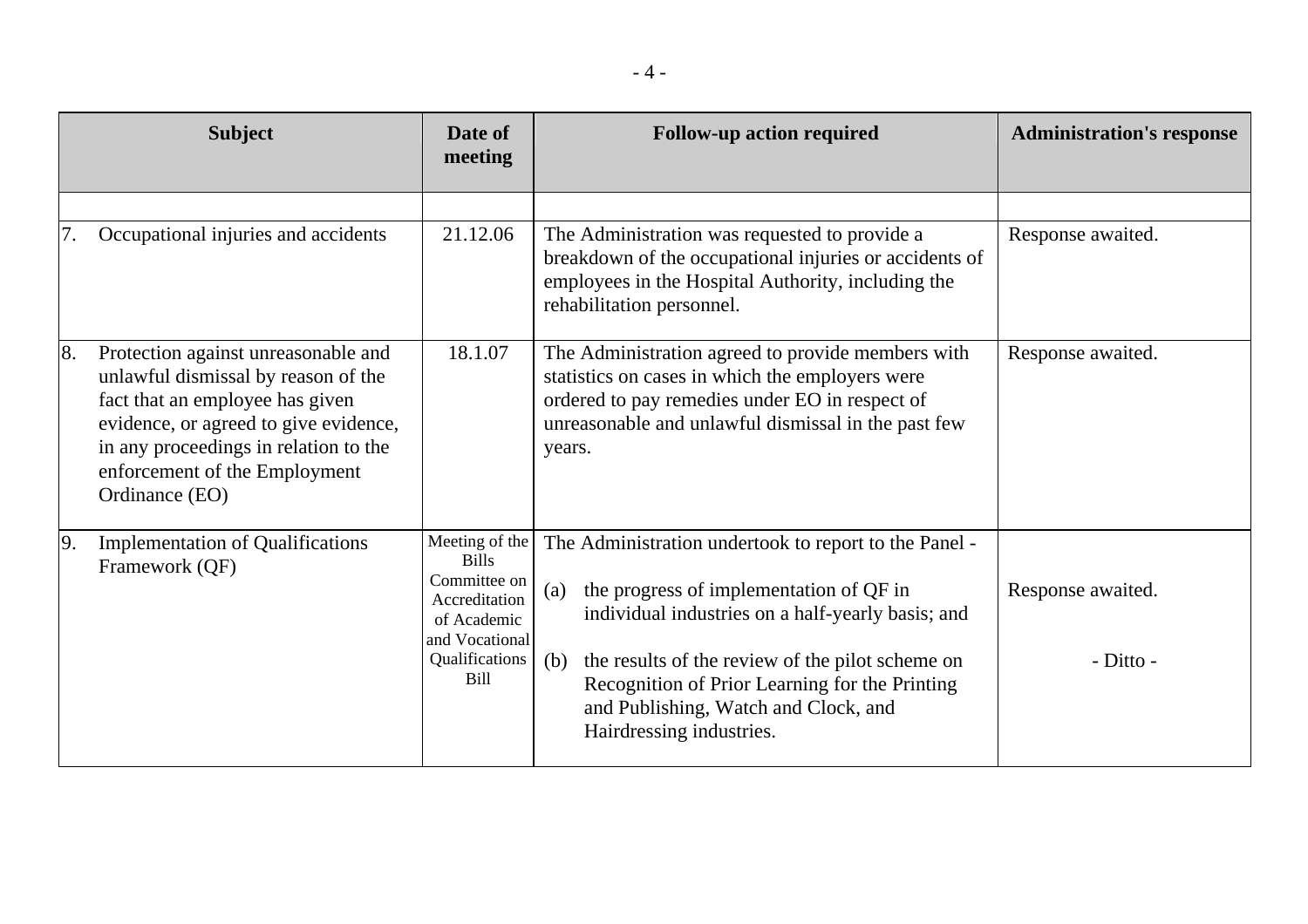|     | <b>Subject</b>                                                                                                                                                                                                                                     | Date of<br>meeting                                                                                                                | <b>Follow-up action required</b>                                                                                                                                                                                                                                                                                                              | <b>Administration's response</b> |
|-----|----------------------------------------------------------------------------------------------------------------------------------------------------------------------------------------------------------------------------------------------------|-----------------------------------------------------------------------------------------------------------------------------------|-----------------------------------------------------------------------------------------------------------------------------------------------------------------------------------------------------------------------------------------------------------------------------------------------------------------------------------------------|----------------------------------|
| 17. | Occupational injuries and accidents                                                                                                                                                                                                                | 21.12.06                                                                                                                          | The Administration was requested to provide a<br>breakdown of the occupational injuries or accidents of<br>employees in the Hospital Authority, including the<br>rehabilitation personnel.                                                                                                                                                    | Response awaited.                |
| 8.  | Protection against unreasonable and<br>unlawful dismissal by reason of the<br>fact that an employee has given<br>evidence, or agreed to give evidence,<br>in any proceedings in relation to the<br>enforcement of the Employment<br>Ordinance (EO) | 18.1.07                                                                                                                           | The Administration agreed to provide members with<br>statistics on cases in which the employers were<br>ordered to pay remedies under EO in respect of<br>unreasonable and unlawful dismissal in the past few<br>years.                                                                                                                       | Response awaited.                |
| 9.  | <b>Implementation of Qualifications</b><br>Framework (QF)                                                                                                                                                                                          | Meeting of the<br><b>Bills</b><br>Committee on<br>Accreditation<br>of Academic<br>and Vocational<br>Qualifications<br><b>Bill</b> | The Administration undertook to report to the Panel -<br>the progress of implementation of QF in<br>(a)<br>individual industries on a half-yearly basis; and<br>the results of the review of the pilot scheme on<br>(b)<br>Recognition of Prior Learning for the Printing<br>and Publishing, Watch and Clock, and<br>Hairdressing industries. | Response awaited.<br>- Ditto -   |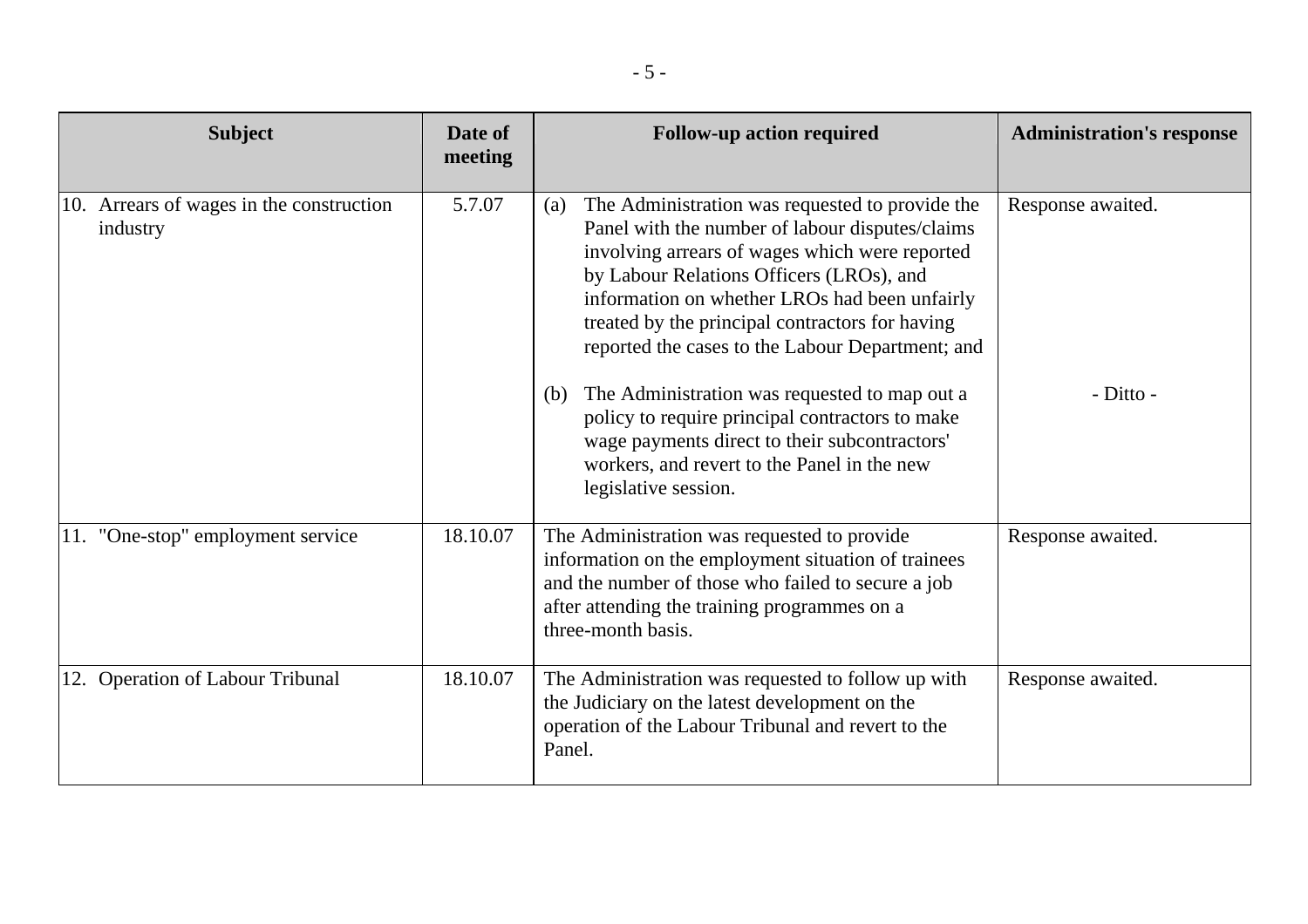| <b>Subject</b>                                       | Date of<br>meeting | <b>Follow-up action required</b>                                                                                                                                                                                                                                                                                                                                                                                                                                                                                                                                                                   | <b>Administration's response</b> |
|------------------------------------------------------|--------------------|----------------------------------------------------------------------------------------------------------------------------------------------------------------------------------------------------------------------------------------------------------------------------------------------------------------------------------------------------------------------------------------------------------------------------------------------------------------------------------------------------------------------------------------------------------------------------------------------------|----------------------------------|
| 10. Arrears of wages in the construction<br>industry | 5.7.07             | The Administration was requested to provide the<br>(a)<br>Panel with the number of labour disputes/claims<br>involving arrears of wages which were reported<br>by Labour Relations Officers (LROs), and<br>information on whether LROs had been unfairly<br>treated by the principal contractors for having<br>reported the cases to the Labour Department; and<br>The Administration was requested to map out a<br>(b)<br>policy to require principal contractors to make<br>wage payments direct to their subcontractors'<br>workers, and revert to the Panel in the new<br>legislative session. | Response awaited.<br>- Ditto -   |
| 11. "One-stop" employment service                    | 18.10.07           | The Administration was requested to provide<br>information on the employment situation of trainees<br>and the number of those who failed to secure a job<br>after attending the training programmes on a<br>three-month basis.                                                                                                                                                                                                                                                                                                                                                                     | Response awaited.                |
| 12. Operation of Labour Tribunal                     | 18.10.07           | The Administration was requested to follow up with<br>the Judiciary on the latest development on the<br>operation of the Labour Tribunal and revert to the<br>Panel.                                                                                                                                                                                                                                                                                                                                                                                                                               | Response awaited.                |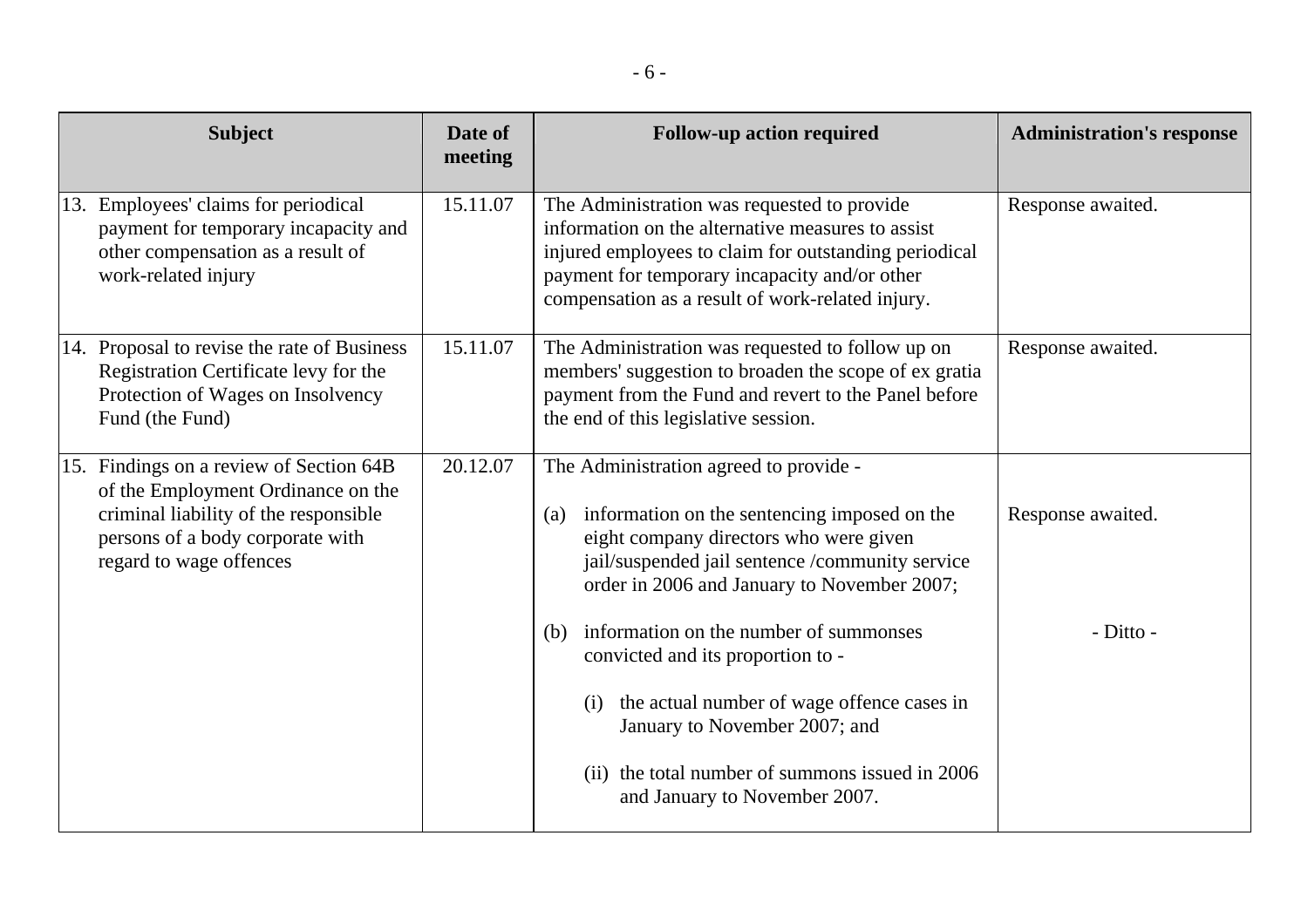| <b>Subject</b>                                                                                                                                                                        | Date of<br>meeting | <b>Follow-up action required</b>                                                                                                                                                                                                                               | <b>Administration's response</b> |
|---------------------------------------------------------------------------------------------------------------------------------------------------------------------------------------|--------------------|----------------------------------------------------------------------------------------------------------------------------------------------------------------------------------------------------------------------------------------------------------------|----------------------------------|
| 13. Employees' claims for periodical<br>payment for temporary incapacity and<br>other compensation as a result of<br>work-related injury                                              | 15.11.07           | The Administration was requested to provide<br>information on the alternative measures to assist<br>injured employees to claim for outstanding periodical<br>payment for temporary incapacity and/or other<br>compensation as a result of work-related injury. | Response awaited.                |
| 14. Proposal to revise the rate of Business<br>Registration Certificate levy for the<br>Protection of Wages on Insolvency<br>Fund (the Fund)                                          | 15.11.07           | The Administration was requested to follow up on<br>members' suggestion to broaden the scope of ex gratia<br>payment from the Fund and revert to the Panel before<br>the end of this legislative session.                                                      | Response awaited.                |
| 15. Findings on a review of Section 64B<br>of the Employment Ordinance on the<br>criminal liability of the responsible<br>persons of a body corporate with<br>regard to wage offences | 20.12.07           | The Administration agreed to provide -<br>information on the sentencing imposed on the<br>(a)<br>eight company directors who were given<br>jail/suspended jail sentence /community service<br>order in 2006 and January to November 2007;                      | Response awaited.                |
|                                                                                                                                                                                       |                    | information on the number of summonses<br>(b)<br>convicted and its proportion to -<br>the actual number of wage offence cases in<br>(i)<br>January to November 2007; and<br>(ii) the total number of summons issued in 2006<br>and January to November 2007.   | - Ditto -                        |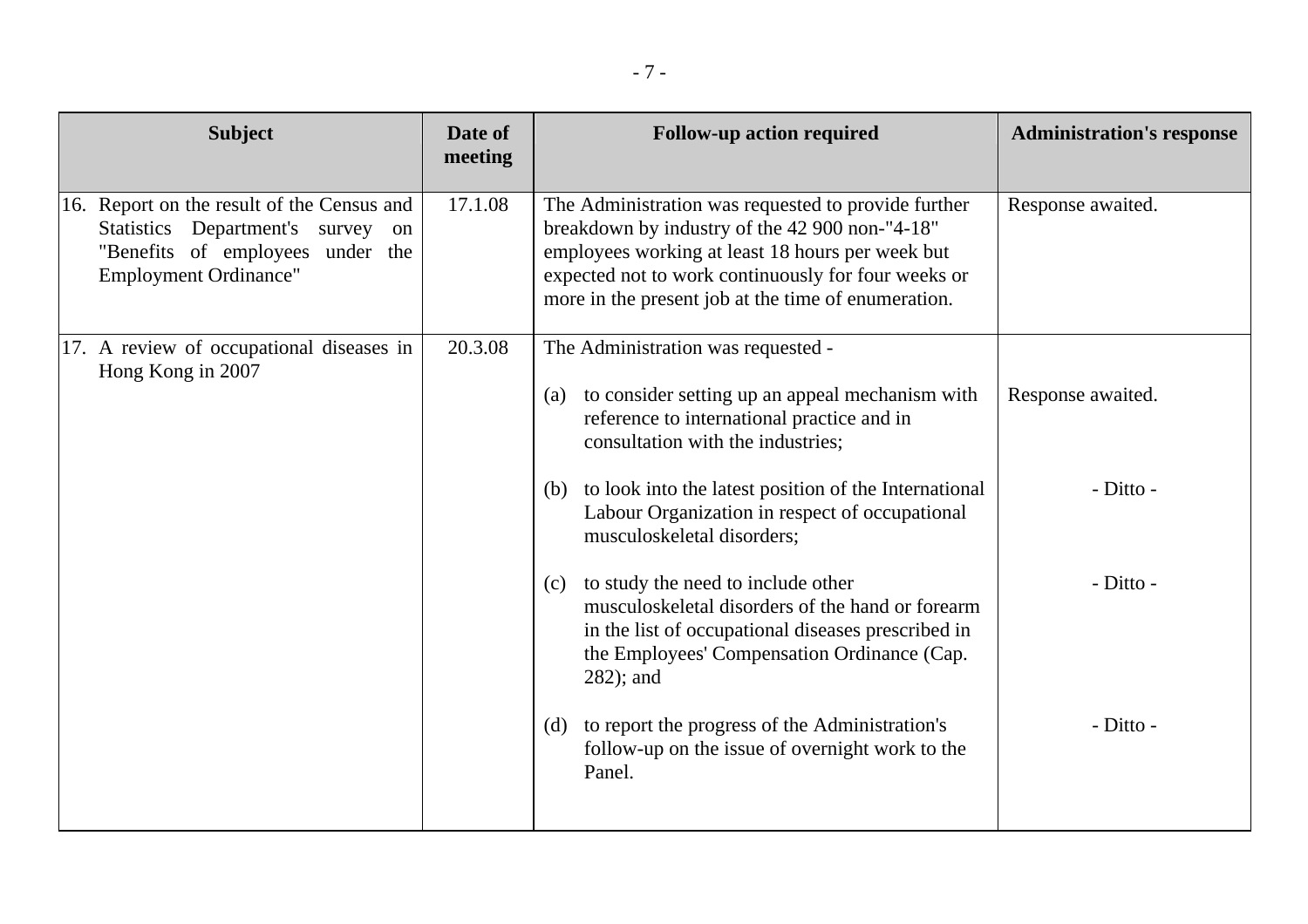| <b>Subject</b>                                                                                                                                             | Date of<br>meeting | <b>Follow-up action required</b>                                                                                                                                                                                                                                        | <b>Administration's response</b> |
|------------------------------------------------------------------------------------------------------------------------------------------------------------|--------------------|-------------------------------------------------------------------------------------------------------------------------------------------------------------------------------------------------------------------------------------------------------------------------|----------------------------------|
| 16. Report on the result of the Census and<br>Statistics Department's survey<br>on<br>"Benefits of employees"<br>under the<br><b>Employment Ordinance"</b> | 17.1.08            | The Administration was requested to provide further<br>breakdown by industry of the 42 900 non-"4-18"<br>employees working at least 18 hours per week but<br>expected not to work continuously for four weeks or<br>more in the present job at the time of enumeration. | Response awaited.                |
| 17. A review of occupational diseases in<br>Hong Kong in 2007                                                                                              | 20.3.08            | The Administration was requested -<br>to consider setting up an appeal mechanism with<br>(a)<br>reference to international practice and in<br>consultation with the industries;                                                                                         | Response awaited.                |
|                                                                                                                                                            |                    | to look into the latest position of the International<br>(b)<br>Labour Organization in respect of occupational<br>musculoskeletal disorders;                                                                                                                            | - Ditto -                        |
|                                                                                                                                                            |                    | to study the need to include other<br>(c)<br>musculoskeletal disorders of the hand or forearm<br>in the list of occupational diseases prescribed in<br>the Employees' Compensation Ordinance (Cap.<br>$282$ ; and                                                       | - Ditto -                        |
|                                                                                                                                                            |                    | to report the progress of the Administration's<br>(d)<br>follow-up on the issue of overnight work to the<br>Panel.                                                                                                                                                      | - Ditto -                        |